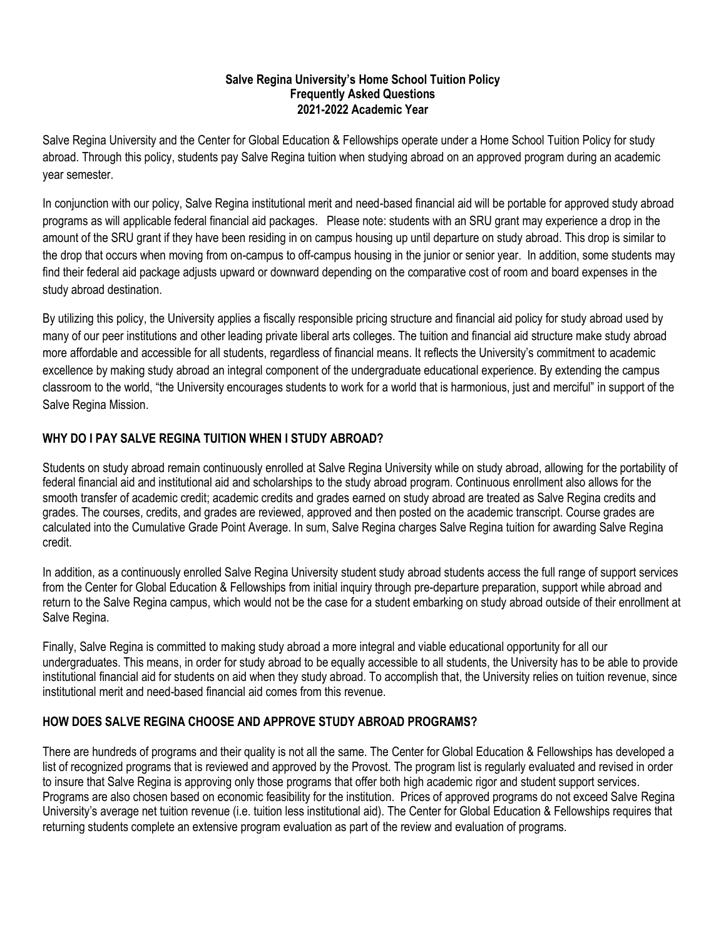#### **Salve Regina University's Home School Tuition Policy Frequently Asked Questions 2021-2022 Academic Year**

Salve Regina University and the Center for Global Education & Fellowships operate under a Home School Tuition Policy for study abroad. Through this policy, students pay Salve Regina tuition when studying abroad on an approved program during an academic year semester.

In conjunction with our policy, Salve Regina institutional merit and need-based financial aid will be portable for approved study abroad programs as will applicable federal financial aid packages. Please note: students with an SRU grant may experience a drop in the amount of the SRU grant if they have been residing in on campus housing up until departure on study abroad. This drop is similar to the drop that occurs when moving from on-campus to off-campus housing in the junior or senior year. In addition, some students may find their federal aid package adjusts upward or downward depending on the comparative cost of room and board expenses in the study abroad destination.

By utilizing this policy, the University applies a fiscally responsible pricing structure and financial aid policy for study abroad used by many of our peer institutions and other leading private liberal arts colleges. The tuition and financial aid structure make study abroad more affordable and accessible for all students, regardless of financial means. It reflects the University's commitment to academic excellence by making study abroad an integral component of the undergraduate educational experience. By extending the campus classroom to the world, "the University encourages students to work for a world that is harmonious, just and merciful" in support of the Salve Regina Mission.

# **WHY DO I PAY SALVE REGINA TUITION WHEN I STUDY ABROAD?**

Students on study abroad remain continuously enrolled at Salve Regina University while on study abroad, allowing for the portability of federal financial aid and institutional aid and scholarships to the study abroad program. Continuous enrollment also allows for the smooth transfer of academic credit; academic credits and grades earned on study abroad are treated as Salve Regina credits and grades. The courses, credits, and grades are reviewed, approved and then posted on the academic transcript. Course grades are calculated into the Cumulative Grade Point Average. In sum, Salve Regina charges Salve Regina tuition for awarding Salve Regina credit.

In addition, as a continuously enrolled Salve Regina University student study abroad students access the full range of support services from the Center for Global Education & Fellowships from initial inquiry through pre-departure preparation, support while abroad and return to the Salve Regina campus, which would not be the case for a student embarking on study abroad outside of their enrollment at Salve Regina.

Finally, Salve Regina is committed to making study abroad a more integral and viable educational opportunity for all our undergraduates. This means, in order for study abroad to be equally accessible to all students, the University has to be able to provide institutional financial aid for students on aid when they study abroad. To accomplish that, the University relies on tuition revenue, since institutional merit and need-based financial aid comes from this revenue.

### **HOW DOES SALVE REGINA CHOOSE AND APPROVE STUDY ABROAD PROGRAMS?**

There are hundreds of programs and their quality is not all the same. The Center for Global Education & Fellowships has developed a list of recognized programs that is reviewed and approved by the Provost. The program list is regularly evaluated and revised in order to insure that Salve Regina is approving only those programs that offer both high academic rigor and student support services. Programs are also chosen based on economic feasibility for the institution. Prices of approved programs do not exceed Salve Regina University's average net tuition revenue (i.e. tuition less institutional aid). The Center for Global Education & Fellowships requires that returning students complete an extensive program evaluation as part of the review and evaluation of programs.